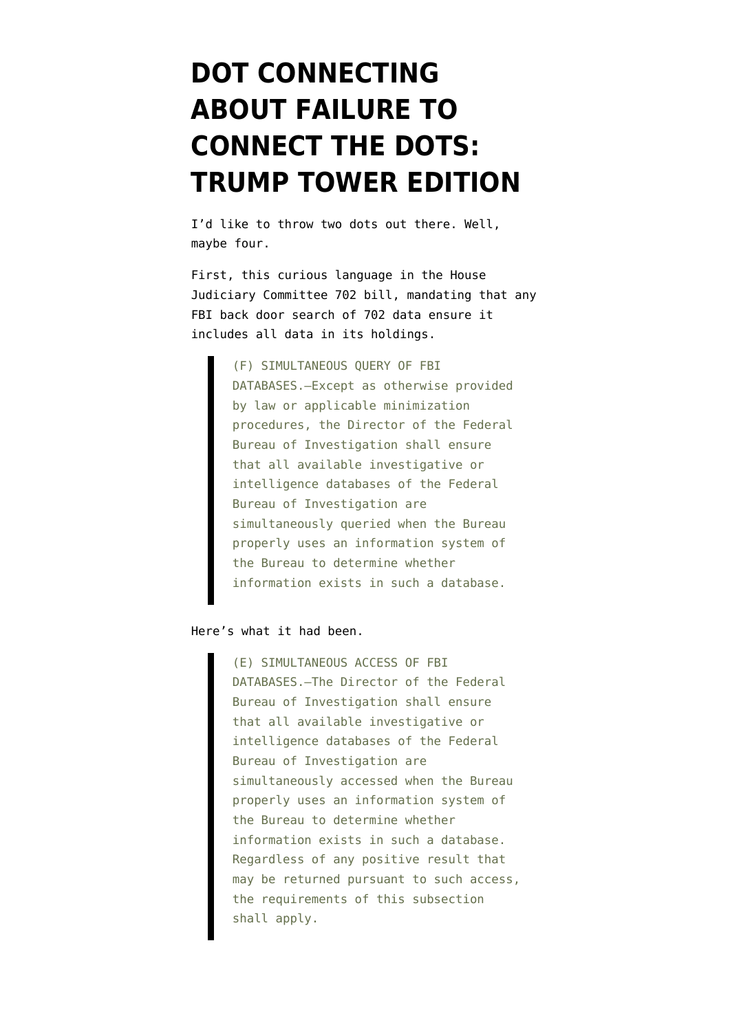## **[DOT CONNECTING](https://www.emptywheel.net/2017/10/20/dot-connecting-about-failure-to-connect-the-dots-trump-tower-edition/) [ABOUT FAILURE TO](https://www.emptywheel.net/2017/10/20/dot-connecting-about-failure-to-connect-the-dots-trump-tower-edition/) [CONNECT THE DOTS:](https://www.emptywheel.net/2017/10/20/dot-connecting-about-failure-to-connect-the-dots-trump-tower-edition/) [TRUMP TOWER EDITION](https://www.emptywheel.net/2017/10/20/dot-connecting-about-failure-to-connect-the-dots-trump-tower-edition/)**

I'd like to throw two dots out there. Well, maybe four.

First, this curious language in the [House](https://assets.documentcloud.org/documents/4113942/USA-Liberty-Act-revised-version.pdf) [Judiciary Committee 702 bill](https://assets.documentcloud.org/documents/4113942/USA-Liberty-Act-revised-version.pdf), mandating that any FBI back door search of 702 data ensure it includes all data in its holdings.

> (F) SIMULTANEOUS QUERY OF FBI DATABASES.—Except as otherwise provided by law or applicable minimization procedures, the Director of the Federal Bureau of Investigation shall ensure that all available investigative or intelligence databases of the Federal Bureau of Investigation are simultaneously queried when the Bureau properly uses an information system of the Bureau to determine whether information exists in such a database.

## Here's [what it had been.](https://www.emptywheel.net/wp-content/uploads/2017/10/171004-702-Reauth.pdf)

(E) SIMULTANEOUS ACCESS OF FBI DATABASES.—The Director of the Federal Bureau of Investigation shall ensure that all available investigative or intelligence databases of the Federal Bureau of Investigation are simultaneously accessed when the Bureau properly uses an information system of the Bureau to determine whether information exists in such a database. Regardless of any positive result that may be returned pursuant to such access, the requirements of this subsection shall apply.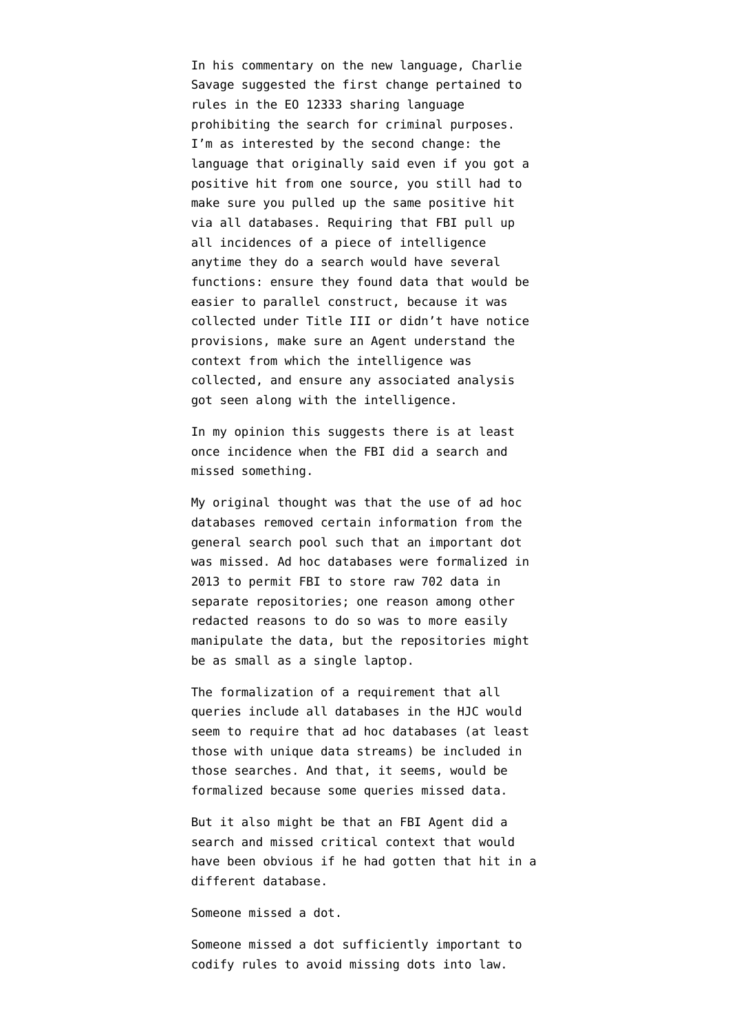In his commentary on the new language, Charlie Savage [suggested](https://twitter.com/charlie_savage/status/917054529006432257) the first change pertained to rules in the EO 12333 sharing language prohibiting the search for criminal purposes. I'm as interested by the second change: the language that originally said even if you got a positive hit from one source, you still had to make sure you pulled up the same positive hit via all databases. Requiring that FBI pull up all incidences of a piece of intelligence anytime they do a search would have several functions: ensure they found data that would be easier to parallel construct, because it was collected under Title III or didn't have notice provisions, make sure an Agent understand the context from which the intelligence was collected, and ensure any associated analysis got seen along with the intelligence.

In my opinion this suggests there is at least once incidence when the FBI did a search and missed something.

My original thought was that the use of ad hoc databases removed certain information from the general search pool such that an important dot was missed. Ad hoc databases [were formalized](https://www.documentcloud.org/documents/3865000-Eff-16-Cv-02041hsg-Doc-15-06-13-17-Redacted.html) in 2013 to permit FBI to store raw 702 data in separate repositories; one reason among other redacted reasons to do so was to more easily manipulate the data, but the repositories might be as small as a single laptop.

The formalization of a requirement that all queries include all databases in the HJC would seem to require that ad hoc databases (at least those with unique data streams) be included in those searches. And that, it seems, would be formalized because some queries missed data.

But it also might be that an FBI Agent did a search and missed critical context that would have been obvious if he had gotten that hit in a different database.

Someone missed a dot.

Someone missed a dot sufficiently important to codify rules to avoid missing dots into law.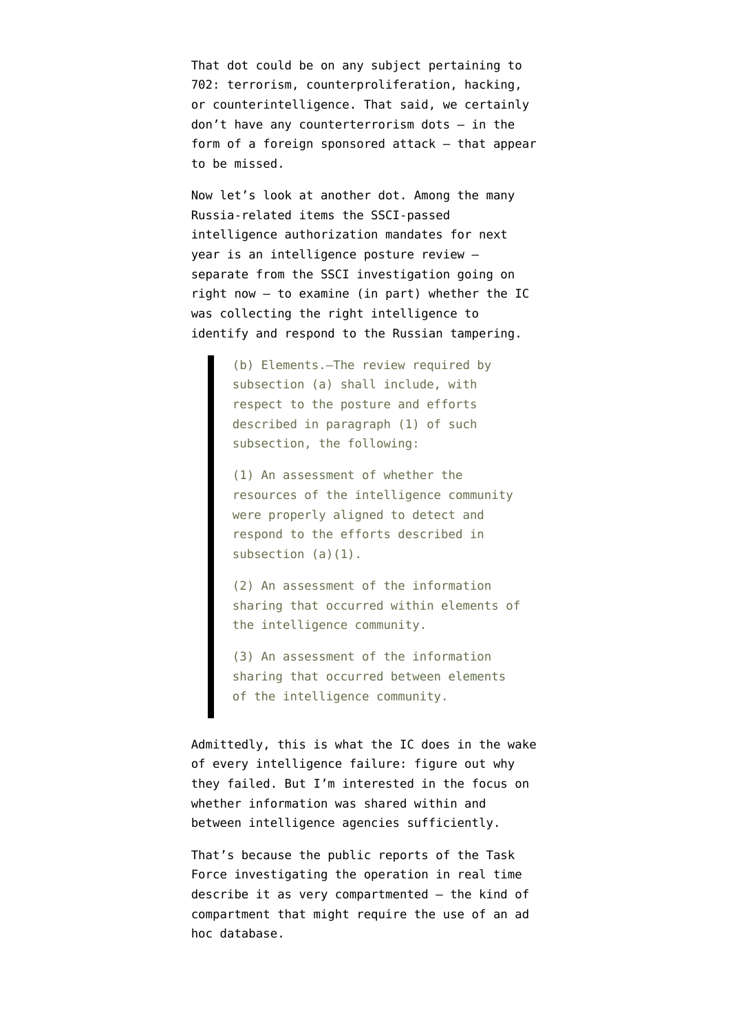That dot could be on any subject pertaining to 702: terrorism, counterproliferation, hacking, or counterintelligence. That said, we certainly don't have any counterterrorism dots — in the form of a foreign sponsored attack — that appear to be missed.

Now let's look at another dot. Among the [many](https://newrepublic.com/article/144499/senate-wants-prevent-russia-compromising-us-elections-trump) [Russia-related items](https://newrepublic.com/article/144499/senate-wants-prevent-russia-compromising-us-elections-trump) the [SSCI-passed](https://www.congress.gov/bill/115th-congress/senate-bill/1761/text?q=%7B%22search%22%3A%5B%22technology%22%5D%7D&r=1#toc-id40CE5C31480E4BCD89746B04B214F851) [intelligence authorization](https://www.congress.gov/bill/115th-congress/senate-bill/1761/text?q=%7B%22search%22%3A%5B%22technology%22%5D%7D&r=1#toc-id40CE5C31480E4BCD89746B04B214F851) mandates for next year is an intelligence posture review separate from the SSCI investigation going on right now — to examine (in part) whether the IC was collecting the right intelligence to identify and respond to the Russian tampering.

> (b) Elements.—The review required by subsection (a) shall include, with respect to the posture and efforts described in paragraph (1) of such subsection, the following:

(1) An assessment of whether the resources of the intelligence community were properly aligned to detect and respond to the efforts described in subsection (a)(1).

(2) An assessment of the information sharing that occurred within elements of the intelligence community.

(3) An assessment of the information sharing that occurred between elements of the intelligence community.

Admittedly, this is what the IC does in the wake of every intelligence failure: figure out why they failed. But I'm interested in the focus on whether information was shared within and between intelligence agencies sufficiently.

That's because the [public reports](https://www.washingtonpost.com/graphics/2017/world/national-security/obama-putin-election-hacking/?utm_term=.5b736c21cb91) of the Task Force investigating the operation in real time describe it as very [compartmented](https://www.emptywheel.net/2017/06/23/the-compartments-in-wapos-russian-hack-opus/) — the kind of compartment that might require the use of an ad hoc database.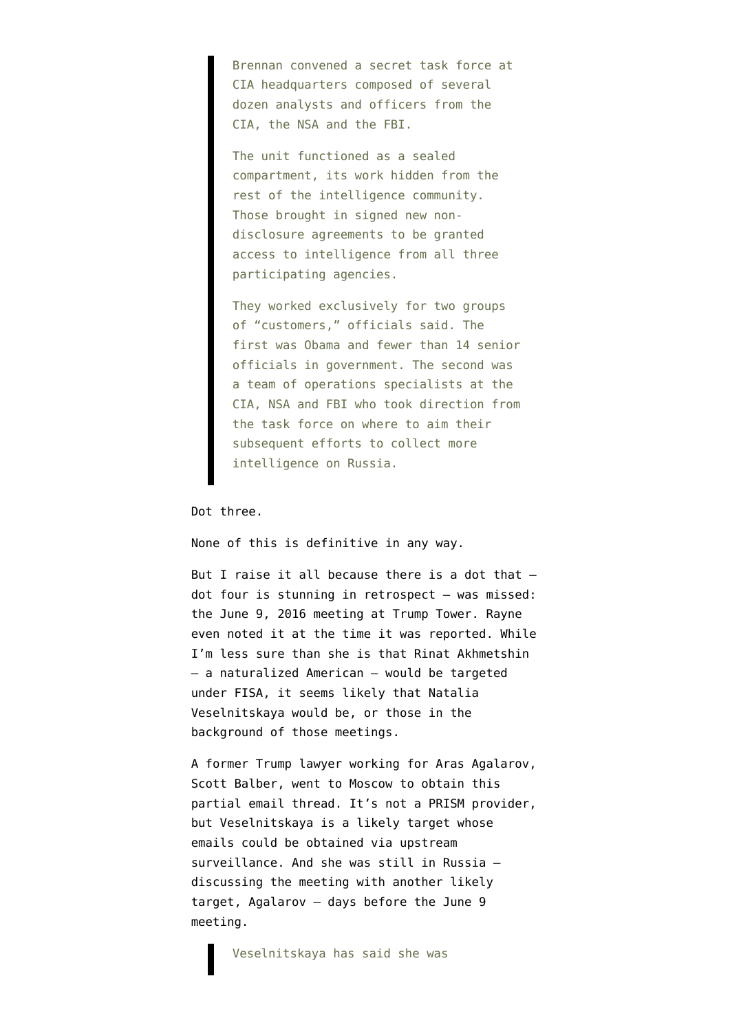Brennan convened a secret task force at CIA headquarters composed of several dozen analysts and officers from the CIA, the NSA and the FBI.

The unit functioned as a sealed compartment, its work hidden from the rest of the intelligence community. Those brought in signed new nondisclosure agreements to be granted access to intelligence from all three participating agencies.

They worked exclusively for two groups of "customers," officials said. The first was Obama and fewer than 14 senior officials in government. The second was a team of operations specialists at the CIA, NSA and FBI who took direction from the task force on where to aim their subsequent efforts to collect more intelligence on Russia.

Dot three.

None of this is definitive in any way.

But I raise it all because there is a dot that dot four is stunning in retrospect — was missed: the June 9, 2016 meeting at Trump Tower. Rayne [even noted it at the time it was reported.](https://www.emptywheel.net/2017/07/14/and-now-akmetshin-or-why-the-hell-didnt-obama-tapp-team-trump/) While I'm less sure than she is that Rinat Akhmetshin — a naturalized American — would be targeted under FISA, it seems likely that Natalia Veselnitskaya would be, or those in the background of those meetings.

A former Trump lawyer working for Aras Agalarov, Scott Balber, went to Moscow to obtain [this](http://i2.cdn.turner.com/cnn/2017/images/10/09/2854_001-cnn.pdf) [partial email thread](http://i2.cdn.turner.com/cnn/2017/images/10/09/2854_001-cnn.pdf). It's not a PRISM provider, but Veselnitskaya is a likely target whose emails could be obtained via upstream surveillance. And she was still in Russia [discussing the meeting](https://www.washingtonpost.com/politics/newly-disclosed-email-sheds-light-on-trump-jr-meeting-with-russian-lawyer/2017/10/09/2d0fecb0-a9e3-11e7-92d1-58c702d2d975_story.html?utm_term=.e386c4e315f1) with another likely target, Agalarov — days before the June 9 meeting.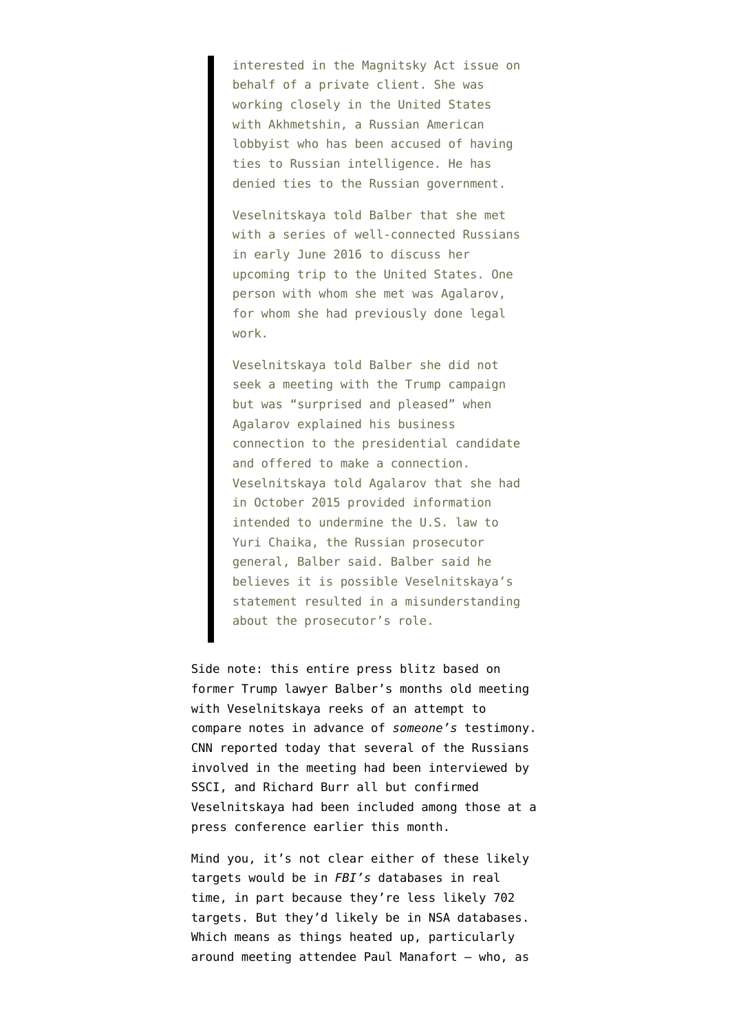interested in the Magnitsky Act issue on behalf of a private client. She was working closely in the United States with Akhmetshin, a Russian American lobbyist who has been accused of having ties to Russian intelligence. He has denied ties to the Russian government.

Veselnitskaya told Balber that she met with a series of well-connected Russians in early June 2016 to discuss her upcoming trip to the United States. One person with whom she met was Agalarov, for whom she had previously done legal work.

Veselnitskaya told Balber she did not seek a meeting with the Trump campaign but was "surprised and pleased" when Agalarov explained his business connection to the presidential candidate and offered to make a connection. Veselnitskaya told Agalarov that she had in October 2015 provided information intended to undermine the U.S. law to Yuri Chaika, the Russian prosecutor general, Balber said. Balber said he believes it is possible Veselnitskaya's statement resulted in a misunderstanding about the prosecutor's role.

Side note: this entire press blitz based on former Trump lawyer Balber's months old meeting with Veselnitskaya reeks of an attempt to compare notes in advance of *someone's* testimony. CNN [reported](http://www.cnn.com/2017/10/20/politics/senate-russia-trump-tower-meeting/index.html?sr=twCNN102017senate-russia-trump-tower-meeting0807PMStory) today that several of the Russians involved in the meeting had been interviewed by SSCI, and Richard Burr all but confirmed Veselnitskaya had been included among those [at a](https://www.emptywheel.net/2017/10/05/richard-burrs-tacit-warning-to-christopher-steele/) [press conference](https://www.emptywheel.net/2017/10/05/richard-burrs-tacit-warning-to-christopher-steele/) earlier this month.

Mind you, it's not clear either of these likely targets would be in *FBI's* databases in real time, in part because they're less likely 702 targets. But they'd likely be in NSA databases. Which means as things heated up, particularly around meeting attendee Paul Manafort — who, as